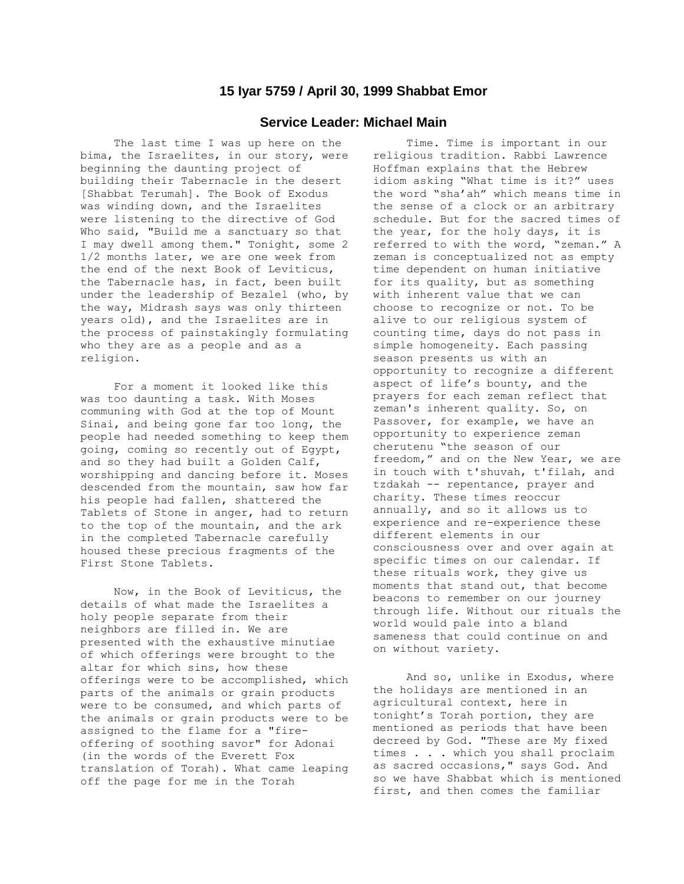## **15 Iyar 5759 / April 30, 1999 Shabbat Emor**

## **Service Leader: Michael Main**

 The last time I was up here on the bima, the Israelites, in our story, were beginning the daunting project of building their Tabernacle in the desert [Shabbat Terumah]. The Book of Exodus was winding down, and the Israelites were listening to the directive of God Who said, "Build me a sanctuary so that I may dwell among them." Tonight, some 2 1/2 months later, we are one week from the end of the next Book of Leviticus, the Tabernacle has, in fact, been built under the leadership of Bezalel (who, by the way, Midrash says was only thirteen years old), and the Israelites are in the process of painstakingly formulating who they are as a people and as a religion.

 For a moment it looked like this was too daunting a task. With Moses communing with God at the top of Mount Sinai, and being gone far too long, the people had needed something to keep them going, coming so recently out of Egypt, and so they had built a Golden Calf, worshipping and dancing before it. Moses descended from the mountain, saw how far his people had fallen, shattered the Tablets of Stone in anger, had to return to the top of the mountain, and the ark in the completed Tabernacle carefully housed these precious fragments of the First Stone Tablets.

 Now, in the Book of Leviticus, the details of what made the Israelites a holy people separate from their neighbors are filled in. We are presented with the exhaustive minutiae of which offerings were brought to the altar for which sins, how these offerings were to be accomplished, which parts of the animals or grain products were to be consumed, and which parts of the animals or grain products were to be assigned to the flame for a "fireoffering of soothing savor" for Adonai (in the words of the Everett Fox translation of Torah). What came leaping off the page for me in the Torah

 Time. Time is important in our religious tradition. Rabbi Lawrence Hoffman explains that the Hebrew idiom asking "What time is it?" uses the word "sha'ah" which means time in the sense of a clock or an arbitrary schedule. But for the sacred times of the year, for the holy days, it is referred to with the word, "zeman." A zeman is conceptualized not as empty time dependent on human initiative for its quality, but as something with inherent value that we can choose to recognize or not. To be alive to our religious system of counting time, days do not pass in simple homogeneity. Each passing season presents us with an opportunity to recognize a different aspect of life's bounty, and the prayers for each zeman reflect that zeman's inherent quality. So, on Passover, for example, we have an opportunity to experience zeman cherutenu "the season of our freedom," and on the New Year, we are in touch with t'shuvah, t'filah, and tzdakah -- repentance, prayer and charity. These times reoccur annually, and so it allows us to experience and re-experience these different elements in our consciousness over and over again at specific times on our calendar. If these rituals work, they give us moments that stand out, that become beacons to remember on our journey through life. Without our rituals the world would pale into a bland sameness that could continue on and on without variety.

 And so, unlike in Exodus, where the holidays are mentioned in an agricultural context, here in tonight's Torah portion, they are mentioned as periods that have been decreed by God. "These are My fixed times . . . which you shall proclaim as sacred occasions," says God. And so we have Shabbat which is mentioned first, and then comes the familiar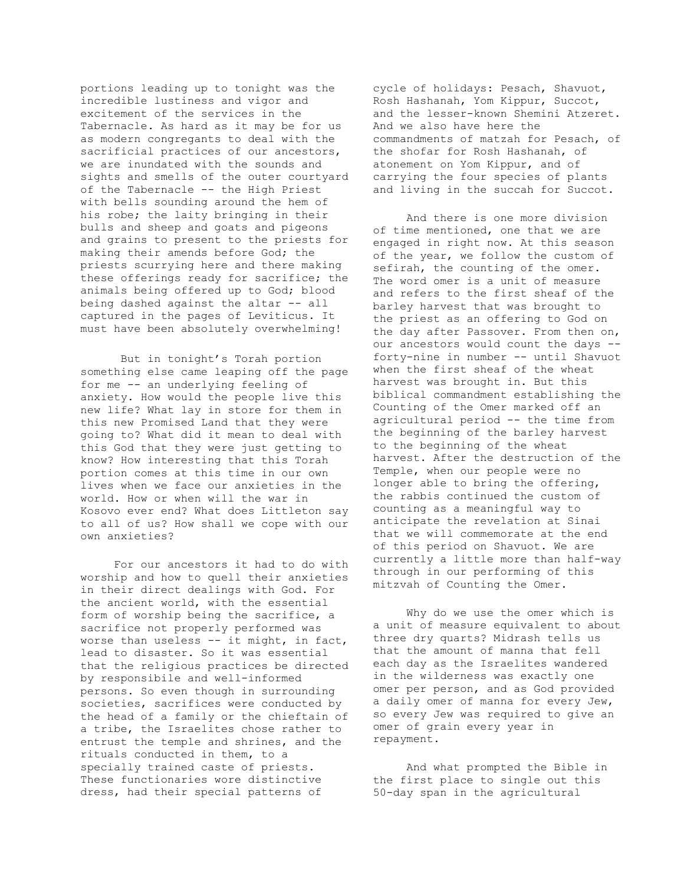portions leading up to tonight was the incredible lustiness and vigor and excitement of the services in the Tabernacle. As hard as it may be for us as modern congregants to deal with the sacrificial practices of our ancestors, we are inundated with the sounds and sights and smells of the outer courtyard of the Tabernacle -- the High Priest with bells sounding around the hem of his robe; the laity bringing in their bulls and sheep and goats and pigeons and grains to present to the priests for making their amends before God; the priests scurrying here and there making these offerings ready for sacrifice; the animals being offered up to God; blood being dashed against the altar -- all captured in the pages of Leviticus. It must have been absolutely overwhelming!

 But in tonight's Torah portion something else came leaping off the page for me -- an underlying feeling of anxiety. How would the people live this new life? What lay in store for them in this new Promised Land that they were going to? What did it mean to deal with this God that they were just getting to know? How interesting that this Torah portion comes at this time in our own lives when we face our anxieties in the world. How or when will the war in Kosovo ever end? What does Littleton say to all of us? How shall we cope with our own anxieties?

 For our ancestors it had to do with worship and how to quell their anxieties in their direct dealings with God. For the ancient world, with the essential form of worship being the sacrifice, a sacrifice not properly performed was worse than useless -- it might, in fact, lead to disaster. So it was essential that the religious practices be directed by responsibile and well-informed persons. So even though in surrounding societies, sacrifices were conducted by the head of a family or the chieftain of a tribe, the Israelites chose rather to entrust the temple and shrines, and the rituals conducted in them, to a specially trained caste of priests. These functionaries wore distinctive dress, had their special patterns of

cycle of holidays: Pesach, Shavuot, Rosh Hashanah, Yom Kippur, Succot, and the lesser-known Shemini Atzeret. And we also have here the commandments of matzah for Pesach, of the shofar for Rosh Hashanah, of atonement on Yom Kippur, and of carrying the four species of plants and living in the succah for Succot.

 And there is one more division of time mentioned, one that we are engaged in right now. At this season of the year, we follow the custom of sefirah, the counting of the omer. The word omer is a unit of measure and refers to the first sheaf of the barley harvest that was brought to the priest as an offering to God on the day after Passover. From then on, our ancestors would count the days - forty-nine in number -- until Shavuot when the first sheaf of the wheat harvest was brought in. But this biblical commandment establishing the Counting of the Omer marked off an agricultural period -- the time from the beginning of the barley harvest to the beginning of the wheat harvest. After the destruction of the Temple, when our people were no longer able to bring the offering, the rabbis continued the custom of counting as a meaningful way to anticipate the revelation at Sinai that we will commemorate at the end of this period on Shavuot. We are currently a little more than half-way through in our performing of this mitzvah of Counting the Omer.

 Why do we use the omer which is a unit of measure equivalent to about three dry quarts? Midrash tells us that the amount of manna that fell each day as the Israelites wandered in the wilderness was exactly one omer per person, and as God provided a daily omer of manna for every Jew, so every Jew was required to give an omer of grain every year in repayment.

 And what prompted the Bible in the first place to single out this 50-day span in the agricultural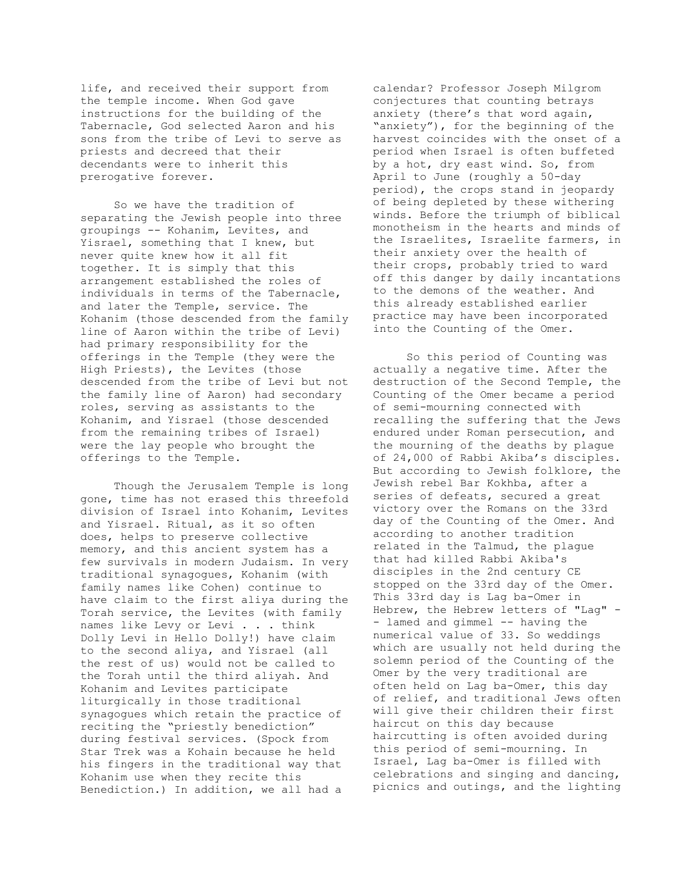life, and received their support from the temple income. When God gave instructions for the building of the Tabernacle, God selected Aaron and his sons from the tribe of Levi to serve as priests and decreed that their decendants were to inherit this prerogative forever.

 So we have the tradition of separating the Jewish people into three groupings -- Kohanim, Levites, and Yisrael, something that I knew, but never quite knew how it all fit together. It is simply that this arrangement established the roles of individuals in terms of the Tabernacle, and later the Temple, service. The Kohanim (those descended from the family line of Aaron within the tribe of Levi) had primary responsibility for the offerings in the Temple (they were the High Priests), the Levites (those descended from the tribe of Levi but not the family line of Aaron) had secondary roles, serving as assistants to the Kohanim, and Yisrael (those descended from the remaining tribes of Israel) were the lay people who brought the offerings to the Temple.

 Though the Jerusalem Temple is long gone, time has not erased this threefold division of Israel into Kohanim, Levites and Yisrael. Ritual, as it so often does, helps to preserve collective memory, and this ancient system has a few survivals in modern Judaism. In very traditional synagogues, Kohanim (with family names like Cohen) continue to have claim to the first aliya during the Torah service, the Levites (with family names like Levy or Levi . . . think Dolly Levi in Hello Dolly!) have claim to the second aliya, and Yisrael (all the rest of us) would not be called to the Torah until the third aliyah. And Kohanim and Levites participate liturgically in those traditional synagogues which retain the practice of reciting the "priestly benediction" during festival services. (Spock from Star Trek was a Kohain because he held his fingers in the traditional way that Kohanim use when they recite this Benediction.) In addition, we all had a

calendar? Professor Joseph Milgrom conjectures that counting betrays anxiety (there's that word again, "anxiety"), for the beginning of the harvest coincides with the onset of a period when Israel is often buffeted by a hot, dry east wind. So, from April to June (roughly a 50-day period), the crops stand in jeopardy of being depleted by these withering winds. Before the triumph of biblical monotheism in the hearts and minds of the Israelites, Israelite farmers, in their anxiety over the health of their crops, probably tried to ward off this danger by daily incantations to the demons of the weather. And this already established earlier practice may have been incorporated into the Counting of the Omer.

 So this period of Counting was actually a negative time. After the destruction of the Second Temple, the Counting of the Omer became a period of semi-mourning connected with recalling the suffering that the Jews endured under Roman persecution, and the mourning of the deaths by plague of 24,000 of Rabbi Akiba's disciples. But according to Jewish folklore, the Jewish rebel Bar Kokhba, after a series of defeats, secured a great victory over the Romans on the 33rd day of the Counting of the Omer. And according to another tradition related in the Talmud, the plague that had killed Rabbi Akiba's disciples in the 2nd century CE stopped on the 33rd day of the Omer. This 33rd day is Lag ba-Omer in Hebrew, the Hebrew letters of "Lag" - - lamed and gimmel -- having the numerical value of 33. So weddings which are usually not held during the solemn period of the Counting of the Omer by the very traditional are often held on Lag ba-Omer, this day of relief, and traditional Jews often will give their children their first haircut on this day because haircutting is often avoided during this period of semi-mourning. In Israel, Lag ba-Omer is filled with celebrations and singing and dancing, picnics and outings, and the lighting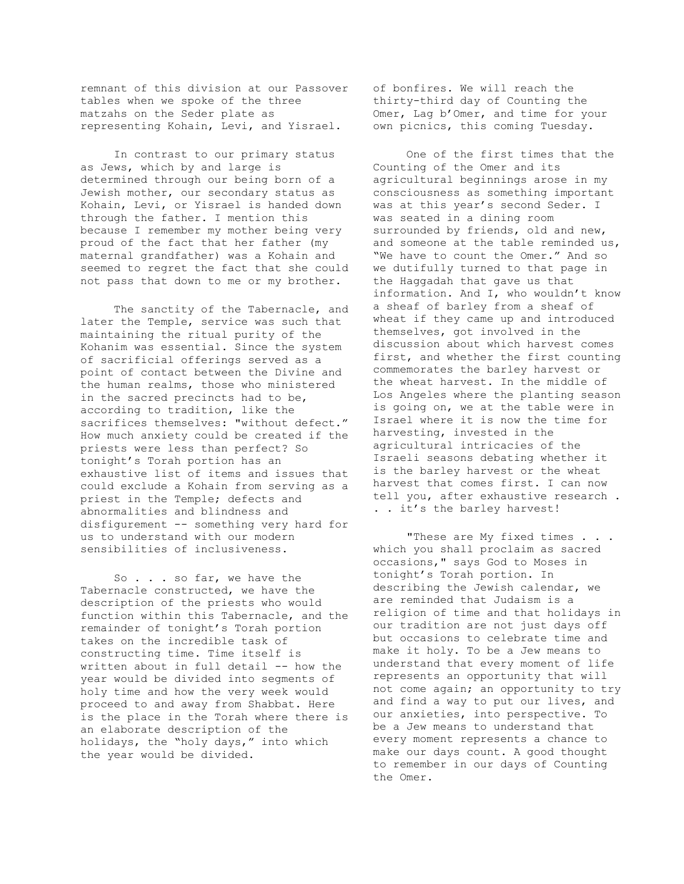remnant of this division at our Passover tables when we spoke of the three matzahs on the Seder plate as representing Kohain, Levi, and Yisrael.

 In contrast to our primary status as Jews, which by and large is determined through our being born of a Jewish mother, our secondary status as Kohain, Levi, or Yisrael is handed down through the father. I mention this because I remember my mother being very proud of the fact that her father (my maternal grandfather) was a Kohain and seemed to regret the fact that she could not pass that down to me or my brother.

 The sanctity of the Tabernacle, and later the Temple, service was such that maintaining the ritual purity of the Kohanim was essential. Since the system of sacrificial offerings served as a point of contact between the Divine and the human realms, those who ministered in the sacred precincts had to be, according to tradition, like the sacrifices themselves: "without defect." How much anxiety could be created if the priests were less than perfect? So tonight's Torah portion has an exhaustive list of items and issues that could exclude a Kohain from serving as a priest in the Temple; defects and abnormalities and blindness and disfigurement -- something very hard for us to understand with our modern sensibilities of inclusiveness.

So . . . so far, we have the Tabernacle constructed, we have the description of the priests who would function within this Tabernacle, and the remainder of tonight's Torah portion takes on the incredible task of constructing time. Time itself is written about in full detail -- how the year would be divided into segments of holy time and how the very week would proceed to and away from Shabbat. Here is the place in the Torah where there is an elaborate description of the holidays, the "holy days," into which the year would be divided.

of bonfires. We will reach the thirty-third day of Counting the Omer, Lag b'Omer, and time for your own picnics, this coming Tuesday.

 One of the first times that the Counting of the Omer and its agricultural beginnings arose in my consciousness as something important was at this year's second Seder. I was seated in a dining room surrounded by friends, old and new, and someone at the table reminded us, "We have to count the Omer." And so we dutifully turned to that page in the Haggadah that gave us that information. And I, who wouldn't know a sheaf of barley from a sheaf of wheat if they came up and introduced themselves, got involved in the discussion about which harvest comes first, and whether the first counting commemorates the barley harvest or the wheat harvest. In the middle of Los Angeles where the planting season is going on, we at the table were in Israel where it is now the time for harvesting, invested in the agricultural intricacies of the Israeli seasons debating whether it is the barley harvest or the wheat harvest that comes first. I can now tell you, after exhaustive research . . . it's the barley harvest!

"These are My fixed times . . . which you shall proclaim as sacred occasions," says God to Moses in tonight's Torah portion. In describing the Jewish calendar, we are reminded that Judaism is a religion of time and that holidays in our tradition are not just days off but occasions to celebrate time and make it holy. To be a Jew means to understand that every moment of life represents an opportunity that will not come again; an opportunity to try and find a way to put our lives, and our anxieties, into perspective. To be a Jew means to understand that every moment represents a chance to make our days count. A good thought to remember in our days of Counting the Omer.